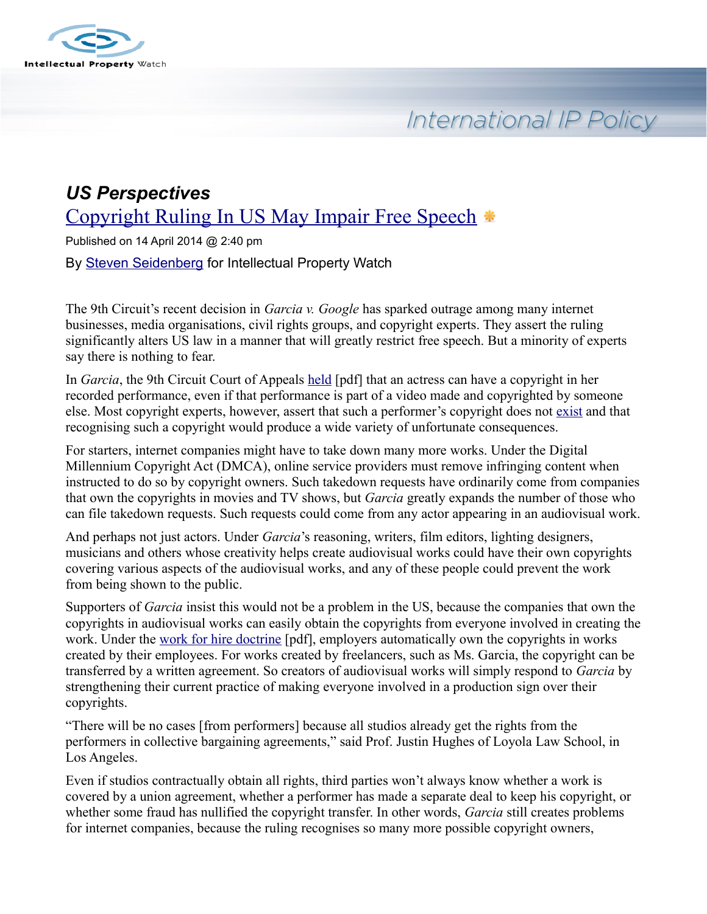

International IP Policy

# *US Perspectives* [Copyright Ruling In US May Impair Free Speech](http://www.ip-watch.org/2014/04/14/copyright-ruling-in-us-may-impair-free-speech/)

Published on 14 April 2014 @ 2:40 pm By [Steven Seidenberg](http://www.ip-watch.org/author/sseidenberg/) for Intellectual Property Watch

The 9th Circuit's recent decision in *Garcia v. Google* has sparked outrage among many internet businesses, media organisations, civil rights groups, and copyright experts. They assert the ruling significantly alters US law in a manner that will greatly restrict free speech. But a minority of experts say there is nothing to fear.

In *Garcia*, the 9th Circuit Court of Appeals [held](http://cdn.ca9.uscourts.gov/datastore/opinions/2014/02/26/12-57302%20web%20revised.pdf) [pdf] that an actress can have a copyright in her recorded performance, even if that performance is part of a video made and copyrighted by someone else. Most copyright experts, however, assert that such a performer's copyright does not [exist](http://www.ip-watch.org/2014/03/31/innocence-of-muslims-creates-copyright-controversy-in-us/) and that recognising such a copyright would produce a wide variety of unfortunate consequences.

For starters, internet companies might have to take down many more works. Under the Digital Millennium Copyright Act (DMCA), online service providers must remove infringing content when instructed to do so by copyright owners. Such takedown requests have ordinarily come from companies that own the copyrights in movies and TV shows, but *Garcia* greatly expands the number of those who can file takedown requests. Such requests could come from any actor appearing in an audiovisual work.

And perhaps not just actors. Under *Garcia*'s reasoning, writers, film editors, lighting designers, musicians and others whose creativity helps create audiovisual works could have their own copyrights covering various aspects of the audiovisual works, and any of these people could prevent the work from being shown to the public.

Supporters of *Garcia* insist this would not be a problem in the US, because the companies that own the copyrights in audiovisual works can easily obtain the copyrights from everyone involved in creating the work. Under the [work for hire doctrine](http://www.copyright.gov/circs/circ09.pdf) [pdf], employers automatically own the copyrights in works created by their employees. For works created by freelancers, such as Ms. Garcia, the copyright can be transferred by a written agreement. So creators of audiovisual works will simply respond to *Garcia* by strengthening their current practice of making everyone involved in a production sign over their copyrights.

"There will be no cases [from performers] because all studios already get the rights from the performers in collective bargaining agreements," said Prof. Justin Hughes of Loyola Law School, in Los Angeles.

Even if studios contractually obtain all rights, third parties won't always know whether a work is covered by a union agreement, whether a performer has made a separate deal to keep his copyright, or whether some fraud has nullified the copyright transfer. In other words, *Garcia* still creates problems for internet companies, because the ruling recognises so many more possible copyright owners,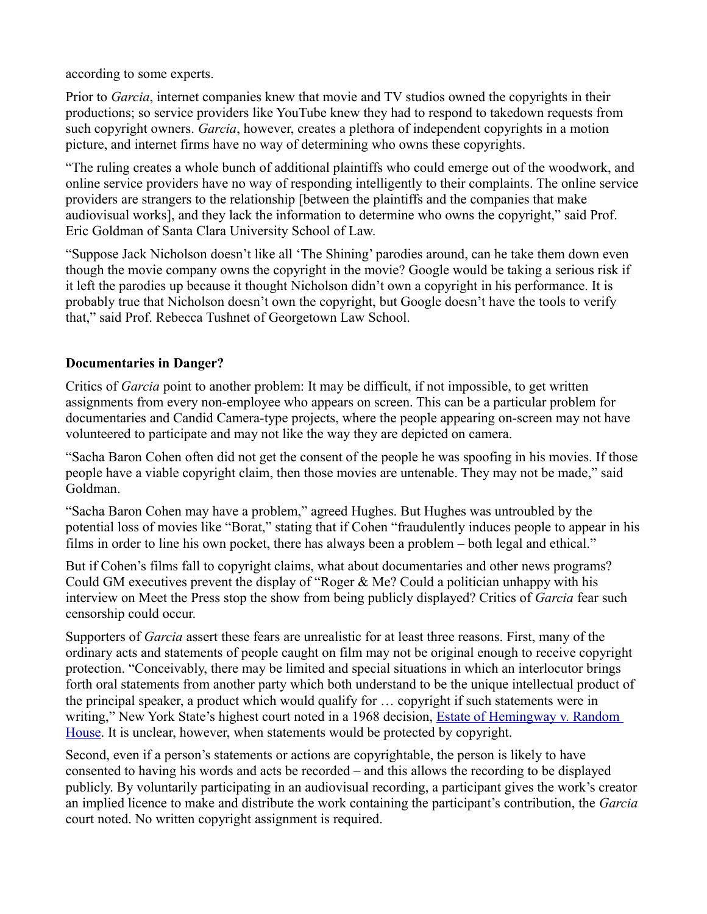according to some experts.

Prior to *Garcia*, internet companies knew that movie and TV studios owned the copyrights in their productions; so service providers like YouTube knew they had to respond to takedown requests from such copyright owners. *Garcia*, however, creates a plethora of independent copyrights in a motion picture, and internet firms have no way of determining who owns these copyrights.

"The ruling creates a whole bunch of additional plaintiffs who could emerge out of the woodwork, and online service providers have no way of responding intelligently to their complaints. The online service providers are strangers to the relationship [between the plaintiffs and the companies that make audiovisual works], and they lack the information to determine who owns the copyright," said Prof. Eric Goldman of Santa Clara University School of Law.

"Suppose Jack Nicholson doesn't like all 'The Shining' parodies around, can he take them down even though the movie company owns the copyright in the movie? Google would be taking a serious risk if it left the parodies up because it thought Nicholson didn't own a copyright in his performance. It is probably true that Nicholson doesn't own the copyright, but Google doesn't have the tools to verify that," said Prof. Rebecca Tushnet of Georgetown Law School.

#### **Documentaries in Danger?**

Critics of *Garcia* point to another problem: It may be difficult, if not impossible, to get written assignments from every non-employee who appears on screen. This can be a particular problem for documentaries and Candid Camera-type projects, where the people appearing on-screen may not have volunteered to participate and may not like the way they are depicted on camera.

"Sacha Baron Cohen often did not get the consent of the people he was spoofing in his movies. If those people have a viable copyright claim, then those movies are untenable. They may not be made," said Goldman.

"Sacha Baron Cohen may have a problem," agreed Hughes. But Hughes was untroubled by the potential loss of movies like "Borat," stating that if Cohen "fraudulently induces people to appear in his films in order to line his own pocket, there has always been a problem – both legal and ethical."

But if Cohen's films fall to copyright claims, what about documentaries and other news programs? Could GM executives prevent the display of "Roger & Me? Could a politician unhappy with his interview on Meet the Press stop the show from being publicly displayed? Critics of *Garcia* fear such censorship could occur.

Supporters of *Garcia* assert these fears are unrealistic for at least three reasons. First, many of the ordinary acts and statements of people caught on film may not be original enough to receive copyright protection. "Conceivably, there may be limited and special situations in which an interlocutor brings forth oral statements from another party which both understand to be the unique intellectual product of the principal speaker, a product which would qualify for … copyright if such statements were in writing," New York State's highest court noted in a 1968 decision, [Estate of Hemingway v. Random](http://scholar.google.com/scholar_case?case=14086357394328055546&q=Estate+of+Hemingway+New+York&hl=en&as_sdt=2006)  [House.](http://scholar.google.com/scholar_case?case=14086357394328055546&q=Estate+of+Hemingway+New+York&hl=en&as_sdt=2006) It is unclear, however, when statements would be protected by copyright.

Second, even if a person's statements or actions are copyrightable, the person is likely to have consented to having his words and acts be recorded – and this allows the recording to be displayed publicly. By voluntarily participating in an audiovisual recording, a participant gives the work's creator an implied licence to make and distribute the work containing the participant's contribution, the *Garcia* court noted. No written copyright assignment is required.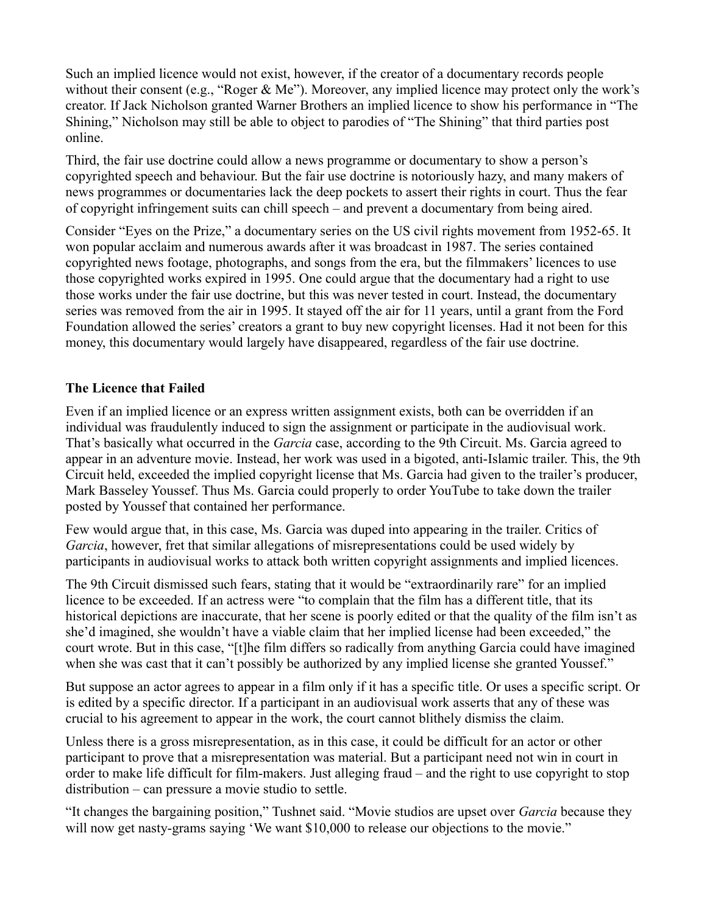Such an implied licence would not exist, however, if the creator of a documentary records people without their consent (e.g., "Roger & Me"). Moreover, any implied licence may protect only the work's creator. If Jack Nicholson granted Warner Brothers an implied licence to show his performance in "The Shining," Nicholson may still be able to object to parodies of "The Shining" that third parties post online.

Third, the fair use doctrine could allow a news programme or documentary to show a person's copyrighted speech and behaviour. But the fair use doctrine is notoriously hazy, and many makers of news programmes or documentaries lack the deep pockets to assert their rights in court. Thus the fear of copyright infringement suits can chill speech – and prevent a documentary from being aired.

Consider "Eyes on the Prize," a documentary series on the US civil rights movement from 1952-65. It won popular acclaim and numerous awards after it was broadcast in 1987. The series contained copyrighted news footage, photographs, and songs from the era, but the filmmakers' licences to use those copyrighted works expired in 1995. One could argue that the documentary had a right to use those works under the fair use doctrine, but this was never tested in court. Instead, the documentary series was removed from the air in 1995. It stayed off the air for 11 years, until a grant from the Ford Foundation allowed the series' creators a grant to buy new copyright licenses. Had it not been for this money, this documentary would largely have disappeared, regardless of the fair use doctrine.

#### **The Licence that Failed**

Even if an implied licence or an express written assignment exists, both can be overridden if an individual was fraudulently induced to sign the assignment or participate in the audiovisual work. That's basically what occurred in the *Garcia* case, according to the 9th Circuit. Ms. Garcia agreed to appear in an adventure movie. Instead, her work was used in a bigoted, anti-Islamic trailer. This, the 9th Circuit held, exceeded the implied copyright license that Ms. Garcia had given to the trailer's producer, Mark Basseley Youssef. Thus Ms. Garcia could properly to order YouTube to take down the trailer posted by Youssef that contained her performance.

Few would argue that, in this case, Ms. Garcia was duped into appearing in the trailer. Critics of *Garcia*, however, fret that similar allegations of misrepresentations could be used widely by participants in audiovisual works to attack both written copyright assignments and implied licences.

The 9th Circuit dismissed such fears, stating that it would be "extraordinarily rare" for an implied licence to be exceeded. If an actress were "to complain that the film has a different title, that its historical depictions are inaccurate, that her scene is poorly edited or that the quality of the film isn't as she'd imagined, she wouldn't have a viable claim that her implied license had been exceeded," the court wrote. But in this case, "[t]he film differs so radically from anything Garcia could have imagined when she was cast that it can't possibly be authorized by any implied license she granted Youssef."

But suppose an actor agrees to appear in a film only if it has a specific title. Or uses a specific script. Or is edited by a specific director. If a participant in an audiovisual work asserts that any of these was crucial to his agreement to appear in the work, the court cannot blithely dismiss the claim.

Unless there is a gross misrepresentation, as in this case, it could be difficult for an actor or other participant to prove that a misrepresentation was material. But a participant need not win in court in order to make life difficult for film-makers. Just alleging fraud – and the right to use copyright to stop distribution – can pressure a movie studio to settle.

"It changes the bargaining position," Tushnet said. "Movie studios are upset over *Garcia* because they will now get nasty-grams saying 'We want \$10,000 to release our objections to the movie."